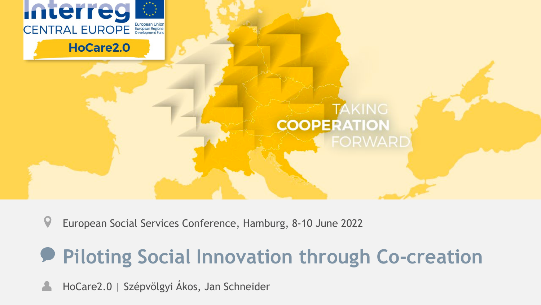

#### HoCare2.0

**TAKING COOPERATION** 

 $\boldsymbol{Q}$ European Social Services Conference, Hamburg, 8-10 June 2022

# **Piloting Social Innovation through Co-creation**

HoCare2.0 | Szépvölgyi Ákos, Jan Schneider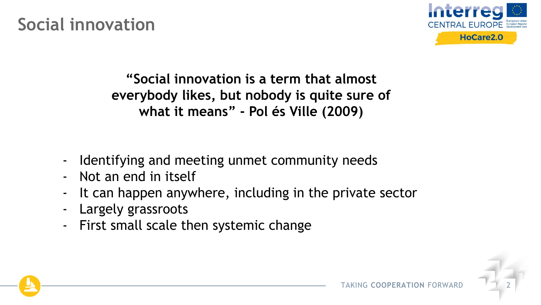**Social innovation**



**"Social innovation is a term that almost everybody likes, but nobody is quite sure of what it means" - Pol és Ville (2009)** 

- Identifying and meeting unmet community needs
- Not an end in itself
- It can happen anywhere, including in the private sector
- Largely grassroots
- First small scale then systemic change

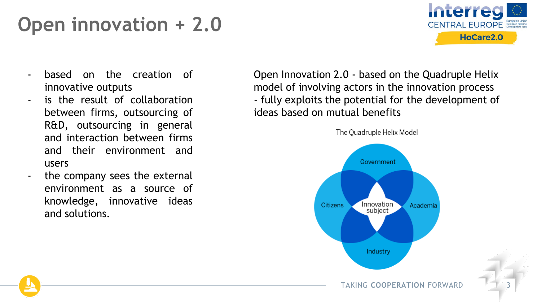# **Open innovation + 2.0**



- based on the creation of innovative outputs
- is the result of collaboration between firms, outsourcing of R&D, outsourcing in general and interaction between firms and their environment and users
- the company sees the external environment as a source of knowledge, innovative ideas and solutions.

Open Innovation 2.0 - based on the Quadruple Helix model of involving actors in the innovation process - fully exploits the potential for the development of ideas based on mutual benefits

The Quadruple Helix Model



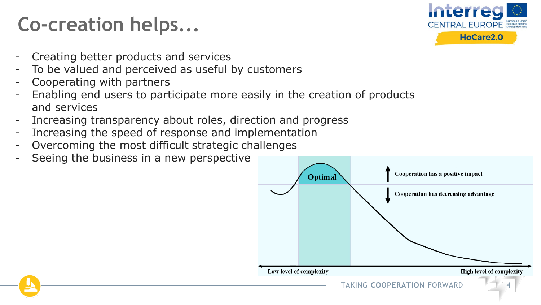# **Co-creation helps...**



- Creating better products and services
- To be valued and perceived as useful by customers
- Cooperating with partners
- Enabling end users to participate more easily in the creation of products and services
- Increasing transparency about roles, direction and progress
- Increasing the speed of response and implementation
- Overcoming the most difficult strategic challenges
- Seeing the business in a new perspective

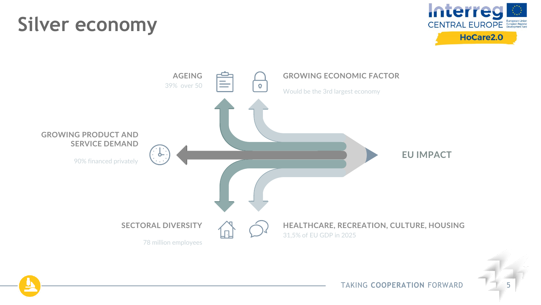## **Silver economy**





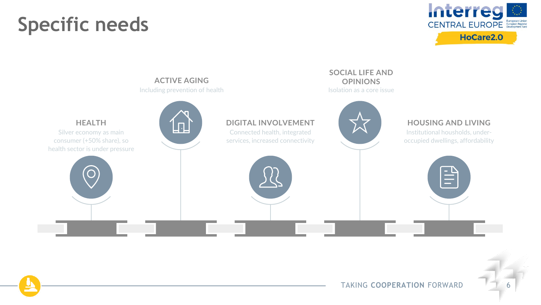## **Specific needs**





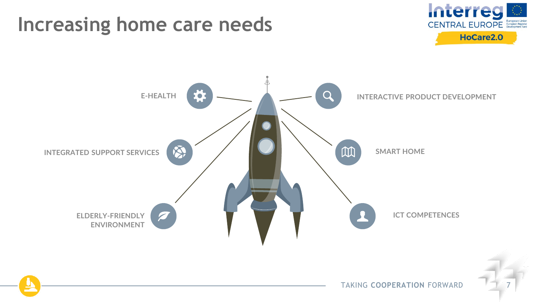## **Increasing home care needs**



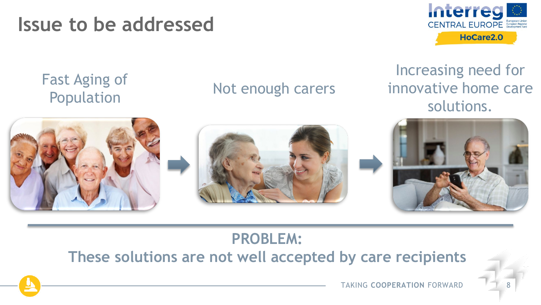**Issue to be addressed**



#### Fast Aging of Population

#### Not enough carers

Increasing need for innovative home care solutions.



### **PROBLEM:**

**These solutions are not well accepted by care recipients**



TAKING COOPFRATION FORWARD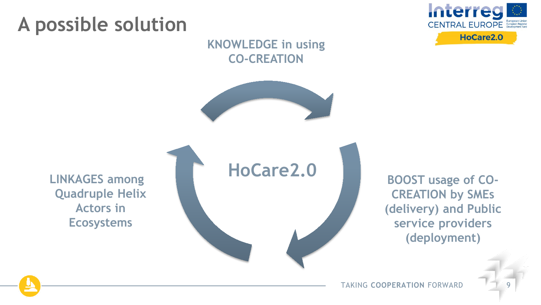## **A possible solution**



#### **KNOWLEDGE in using CO-CREATION**



**LINKAGES among Quadruple Helix Actors in Ecosystems**



**BOOST usage of CO-CREATION by SMEs (delivery) and Public service providers (deployment)**

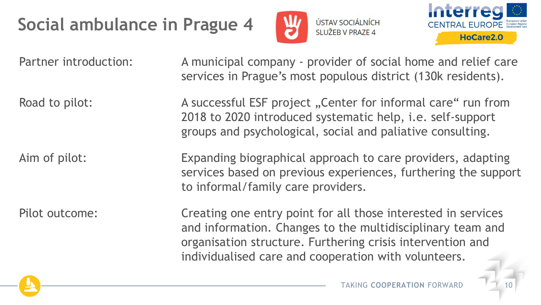## **Social ambulance in Prague 4**





Partner introduction: A municipal company - provider of social home and relief care services in Prague's most populous district (130k residents).

Road to pilot: A successful ESF project "Center for informal care" run from 2018 to 2020 introduced systematic help, i.e. self-support groups and psychological, social and paliative consulting.

Aim of pilot: Expanding biographical approach to care providers, adapting services based on previous experiences, furthering the support to informal/family care providers.

Pilot outcome: Creating one entry point for all those interested in services and information. Changes to the multidisciplinary team and organisation structure. Furthering crisis intervention and individualised care and cooperation with volunteers.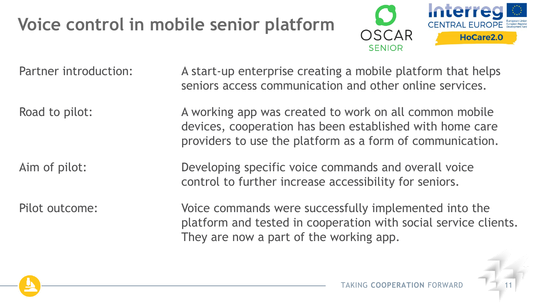## **Voice control in mobile senior platform**



Partner introduction: A start-up enterprise creating a mobile platform that helps seniors access communication and other online services.

Road to pilot: A working app was created to work on all common mobile devices, cooperation has been established with home care providers to use the platform as a form of communication.

Aim of pilot: Developing specific voice commands and overall voice control to further increase accessibility for seniors.

Pilot outcome: Voice commands were successfully implemented into the platform and tested in cooperation with social service clients. They are now a part of the working app.

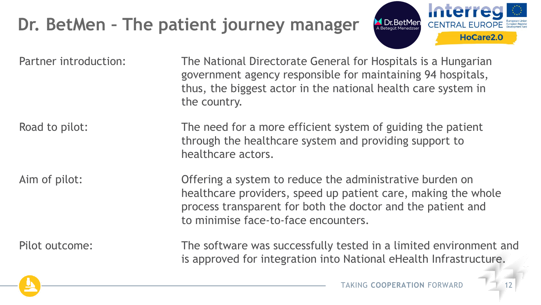## **Dr. BetMen – The patient journey manager**



Partner introduction: The National Directorate General for Hospitals is a Hungarian government agency responsible for maintaining 94 hospitals, thus, the biggest actor in the national health care system in the country.

Road to pilot: The need for a more efficient system of guiding the patient through the healthcare system and providing support to healthcare actors.

Aim of pilot: **Offering a system to reduce the administrative burden on** healthcare providers, speed up patient care, making the whole process transparent for both the doctor and the patient and to minimise face-to-face encounters.

Pilot outcome: The software was successfully tested in a limited environment and is approved for integration into National eHealth Infrastructure.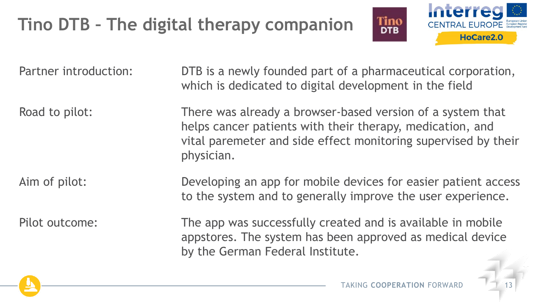## **Tino DTB – The digital therapy companion**



Partner introduction: DTB is a newly founded part of a pharmaceutical corporation, which is dedicated to digital development in the field Road to pilot: There was already a browser-based version of a system that helps cancer patients with their therapy, medication, and vital paremeter and side effect monitoring supervised by their physician. Aim of pilot: Developing an app for mobile devices for easier patient access to the system and to generally improve the user experience. Pilot outcome: The app was successfully created and is available in mobile appstores. The system has been approved as medical device by the German Federal Institute.